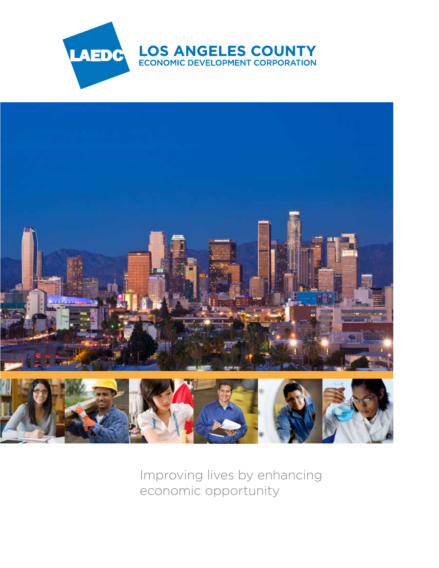



Improving lives by enhancing economic opportunity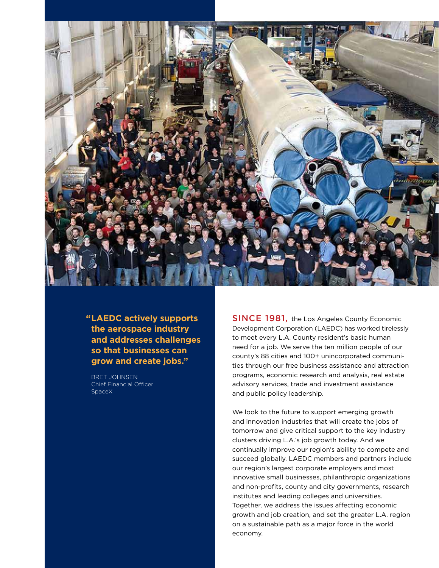

 **"LAEDC actively supports the aerospace industry and addresses challenges so that businesses can grow and create jobs."**

Bret Johnsen Chief Financial Officer SpaceX

**SINCE 1981, the Los Angeles County Economic** Development Corporation (LAEDC) has worked tirelessly to meet every L.A. County resident's basic human need for a job. We serve the ten million people of our county's 88 cities and 100+ unincorporated communities through our free business assistance and attraction programs, economic research and analysis, real estate advisory services, trade and investment assistance and public policy leadership.

We look to the future to support emerging growth and innovation industries that will create the jobs of tomorrow and give critical support to the key industry clusters driving L.A.'s job growth today. And we continually improve our region's ability to compete and succeed globally. LAEDC members and partners include our region's largest corporate employers and most innovative small businesses, philanthropic organizations and non-profits, county and city governments, research institutes and leading colleges and universities. Together, we address the issues affecting economic growth and job creation, and set the greater L.A. region on a sustainable path as a major force in the world economy.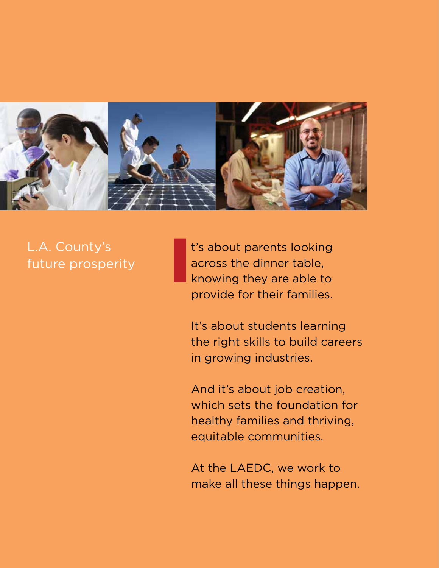

# L.A. County's future prosperity

 t's about parents looking across the dinner table, knowing they are able to provide for their families.

 It's about students learning the right skills to build careers in growing industries.

 And it's about job creation, which sets the foundation for healthy families and thriving, equitable communities.

 At the LAEDC, we work to make all these things happen.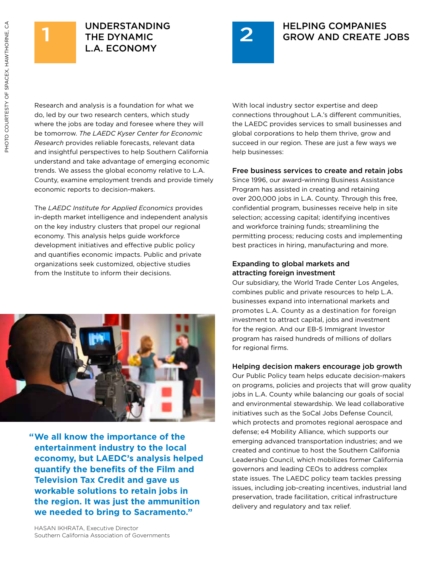



Research and analysis is a foundation for what we do, led by our two research centers, which study where the jobs are today and foresee where they will be tomorrow. *The LAEDC Kyser Center for Economic Research* provides reliable forecasts, relevant data and insightful perspectives to help Southern California understand and take advantage of emerging economic trends. We assess the global economy relative to L.A. County, examine employment trends and provide timely economic reports to decision-makers.

The *LAEDC Institute for Applied Economics* provides in-depth market intelligence and independent analysis on the key industry clusters that propel our regional economy. This analysis helps guide workforce development initiatives and effective public policy and quantifies economic impacts. Public and private organizations seek customized, objective studies from the Institute to inform their decisions.



 **"We all know the importance of the entertainment industry to the local economy, but LAEDC's analysis helped quantify the benefits of the Film and Television Tax Credit and gave us workable solutions to retain jobs in the region. It was just the ammunition we needed to bring to Sacramento."**

With local industry sector expertise and deep connections throughout L.A.'s different communities, the LAEDC provides services to small businesses and global corporations to help them thrive, grow and succeed in our region. These are just a few ways we help businesses:

### Free business services to create and retain jobs

Since 1996, our award-winning Business Assistance Program has assisted in creating and retaining over 200,000 jobs in L.A. County. Through this free, confidential program, businesses receive help in site selection; accessing capital; identifying incentives and workforce training funds; streamlining the permitting process; reducing costs and implementing best practices in hiring, manufacturing and more.

### Expanding to global markets and attracting foreign investment

Our subsidiary, the World Trade Center Los Angeles, combines public and private resources to help L.A. businesses expand into international markets and promotes L.A. County as a destination for foreign investment to attract capital, jobs and investment for the region. And our EB-5 Immigrant Investor program has raised hundreds of millions of dollars for regional firms.

# Helping decision makers encourage job growth

Our Public Policy team helps educate decision-makers on programs, policies and projects that will grow quality jobs in L.A. County while balancing our goals of social and environmental stewardship. We lead collaborative initiatives such as the SoCal Jobs Defense Council, which protects and promotes regional aerospace and defense; e4 Mobility Alliance, which supports our emerging advanced transportation industries; and we created and continue to host the Southern California Leadership Council, which mobilizes former California governors and leading CEOs to address complex state issues. The LAEDC policy team tackles pressing issues, including job-creating incentives, industrial land preservation, trade facilitation, critical infrastructure delivery and regulatory and tax relief.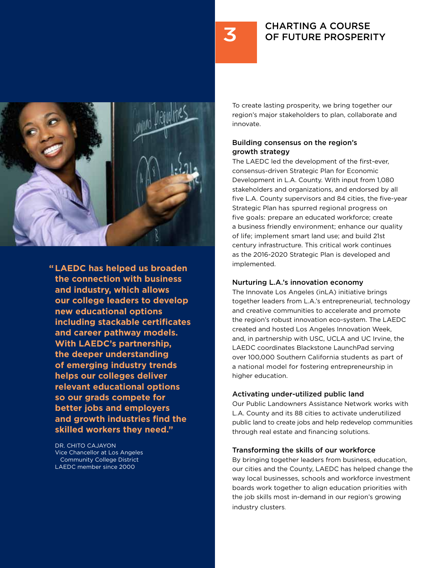# CHARTING A COURSE OF FUTURE PROSPERITY



 **" LAEDC has helped us broaden the connection with business and industry, which allows our college leaders to develop new educational options including stackable certificates and career pathway models. With LAEDC's partnership, the deeper understanding of emerging industry trends helps our colleges deliver relevant educational options so our grads compete for better jobs and employers and growth industries find the skilled workers they need."**

Dr. Chito Cajayon Vice Chancellor at Los Angeles Community College District LAEDC member since 2000

To create lasting prosperity, we bring together our region's major stakeholders to plan, collaborate and innovate.

# Building consensus on the region's growth strategy

The LAEDC led the development of the first-ever, consensus-driven Strategic Plan for Economic Development in L.A. County. With input from 1,080 stakeholders and organizations, and endorsed by all five L.A. County supervisors and 84 cities, the five-year Strategic Plan has spurred regional progress on five goals: prepare an educated workforce; create a business friendly environment; enhance our quality of life; implement smart land use; and build 21st century infrastructure. This critical work continues as the 2016-2020 Strategic Plan is developed and implemented.

### Nurturing L.A.'s innovation economy

The Innovate Los Angeles (inLA) initiative brings together leaders from L.A.'s entrepreneurial, technology and creative communities to accelerate and promote the region's robust innovation eco-system. The LAEDC created and hosted Los Angeles Innovation Week, and, in partnership with USC, UCLA and UC Irvine, the LAEDC coordinates Blackstone LaunchPad serving over 100,000 Southern California students as part of a national model for fostering entrepreneurship in higher education.

# Activating under-utilized public land

Our Public Landowners Assistance Network works with L.A. County and its 88 cities to activate underutilized public land to create jobs and help redevelop communities through real estate and financing solutions.

### Transforming the skills of our workforce

By bringing together leaders from business, education, our cities and the County, LAEDC has helped change the way local businesses, schools and workforce investment boards work together to align education priorities with the job skills most in-demand in our region's growing industry clusters.